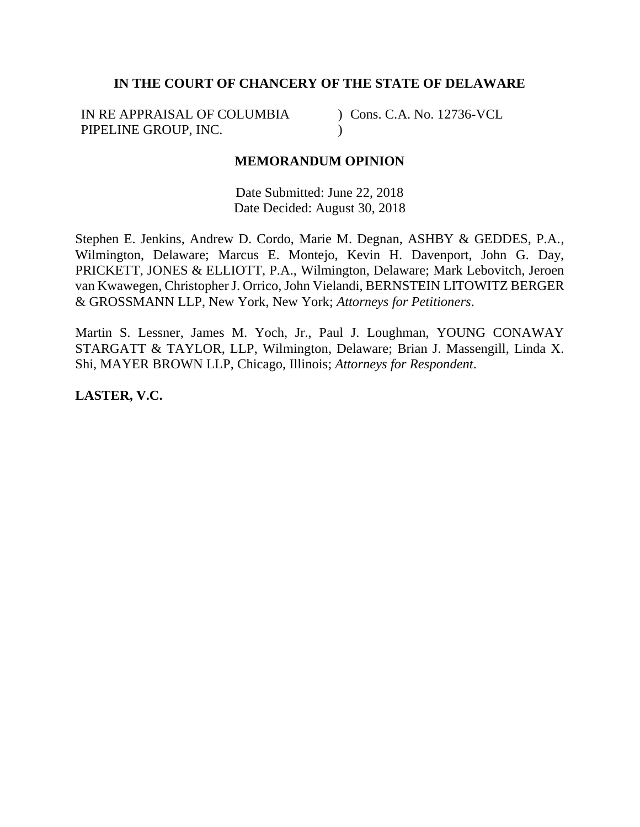## **IN THE COURT OF CHANCERY OF THE STATE OF DELAWARE**

IN RE APPRAISAL OF COLUMBIA PIPELINE GROUP, INC.

) Cons. C.A. No. 12736-VCL  $\mathcal{L}$ 

## **MEMORANDUM OPINION**

Date Submitted: June 22, 2018 Date Decided: August 30, 2018

Stephen E. Jenkins, Andrew D. Cordo, Marie M. Degnan, ASHBY & GEDDES, P.A., Wilmington, Delaware; Marcus E. Montejo, Kevin H. Davenport, John G. Day, PRICKETT, JONES & ELLIOTT, P.A., Wilmington, Delaware; Mark Lebovitch, Jeroen van Kwawegen, Christopher J. Orrico, John Vielandi, BERNSTEIN LITOWITZ BERGER & GROSSMANN LLP, New York, New York; *Attorneys for Petitioners*.

Martin S. Lessner, James M. Yoch, Jr., Paul J. Loughman, YOUNG CONAWAY STARGATT & TAYLOR, LLP, Wilmington, Delaware; Brian J. Massengill, Linda X. Shi, MAYER BROWN LLP, Chicago, Illinois; *Attorneys for Respondent*.

**LASTER, V.C.**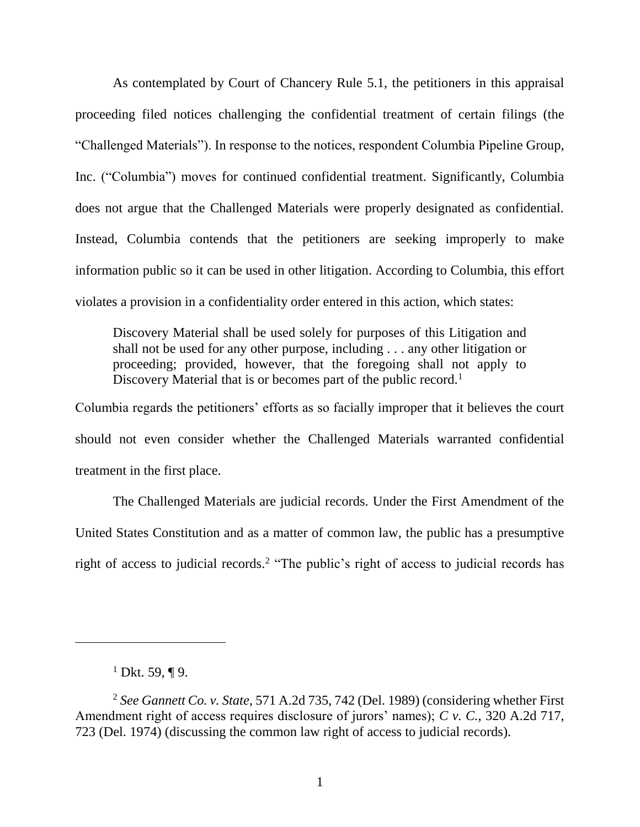As contemplated by Court of Chancery Rule 5.1, the petitioners in this appraisal proceeding filed notices challenging the confidential treatment of certain filings (the "Challenged Materials"). In response to the notices, respondent Columbia Pipeline Group, Inc. ("Columbia") moves for continued confidential treatment. Significantly, Columbia does not argue that the Challenged Materials were properly designated as confidential. Instead, Columbia contends that the petitioners are seeking improperly to make information public so it can be used in other litigation. According to Columbia, this effort violates a provision in a confidentiality order entered in this action, which states:

Discovery Material shall be used solely for purposes of this Litigation and shall not be used for any other purpose, including . . . any other litigation or proceeding; provided, however, that the foregoing shall not apply to Discovery Material that is or becomes part of the public record.<sup>1</sup>

Columbia regards the petitioners' efforts as so facially improper that it believes the court should not even consider whether the Challenged Materials warranted confidential treatment in the first place.

The Challenged Materials are judicial records. Under the First Amendment of the United States Constitution and as a matter of common law, the public has a presumptive right of access to judicial records.<sup>2</sup> "The public's right of access to judicial records has

<sup>&</sup>lt;sup>1</sup> Dkt. 59, ¶ 9.

<sup>2</sup> *See Gannett Co. v. State*, 571 A.2d 735, 742 (Del. 1989) (considering whether First Amendment right of access requires disclosure of jurors' names); *C v. C.*, 320 A.2d 717, 723 (Del. 1974) (discussing the common law right of access to judicial records).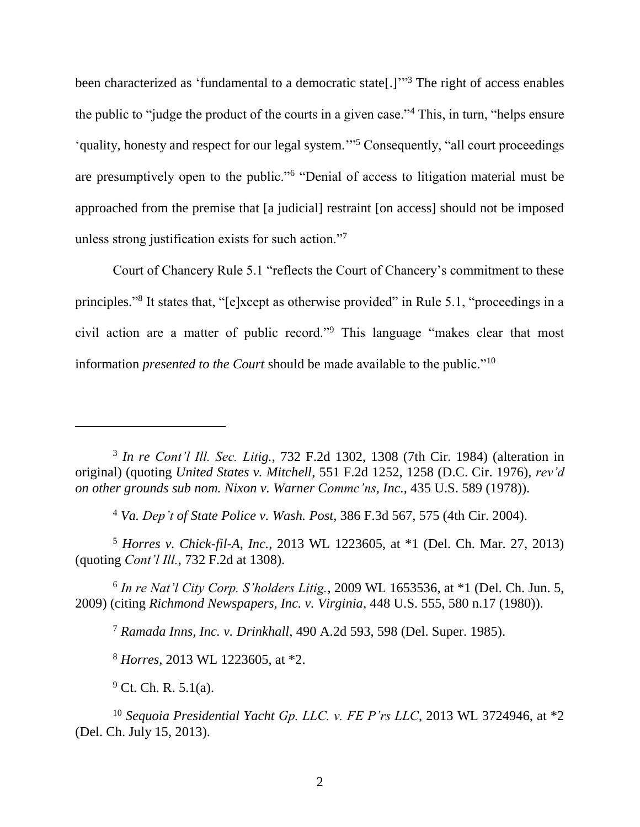been characterized as 'fundamental to a democratic state[.]"<sup>3</sup> The right of access enables the public to "judge the product of the courts in a given case."<sup>4</sup> This, in turn, "helps ensure 'quality, honesty and respect for our legal system.'" <sup>5</sup> Consequently, "all court proceedings are presumptively open to the public."<sup>6</sup> "Denial of access to litigation material must be approached from the premise that [a judicial] restraint [on access] should not be imposed unless strong justification exists for such action."<sup>7</sup>

Court of Chancery Rule 5.1 "reflects the Court of Chancery's commitment to these principles."<sup>8</sup> It states that, "[e]xcept as otherwise provided" in Rule 5.1, "proceedings in a civil action are a matter of public record."<sup>9</sup> This language "makes clear that most information *presented to the Court* should be made available to the public."<sup>10</sup>

3 *In re Cont'l Ill. Sec. Litig.*, 732 F.2d 1302, 1308 (7th Cir. 1984) (alteration in original) (quoting *United States v. Mitchell*, 551 F.2d 1252, 1258 (D.C. Cir. 1976), *rev'd on other grounds sub nom. Nixon v. Warner Commc'ns, Inc.*, 435 U.S. 589 (1978)).

<sup>4</sup> *Va. Dep't of State Police v. Wash. Post*, 386 F.3d 567, 575 (4th Cir. 2004).

<sup>5</sup> *Horres v. Chick-fil-A, Inc.*, 2013 WL 1223605, at \*1 (Del. Ch. Mar. 27, 2013) (quoting *Cont'l Ill.*, 732 F.2d at 1308).

6 *In re Nat'l City Corp. S'holders Litig.*, 2009 WL 1653536, at \*1 (Del. Ch. Jun. 5, 2009) (citing *Richmond Newspapers, Inc. v. Virginia*, 448 U.S. 555, 580 n.17 (1980)).

<sup>7</sup> *Ramada Inns, Inc. v. Drinkhall*, 490 A.2d 593, 598 (Del. Super. 1985).

<sup>8</sup> *Horres*, 2013 WL 1223605, at \*2.

 $9$  Ct. Ch. R. 5.1(a).

 $\overline{a}$ 

<sup>10</sup> *Sequoia Presidential Yacht Gp. LLC. v. FE P'rs LLC*, 2013 WL 3724946, at \*2 (Del. Ch. July 15, 2013).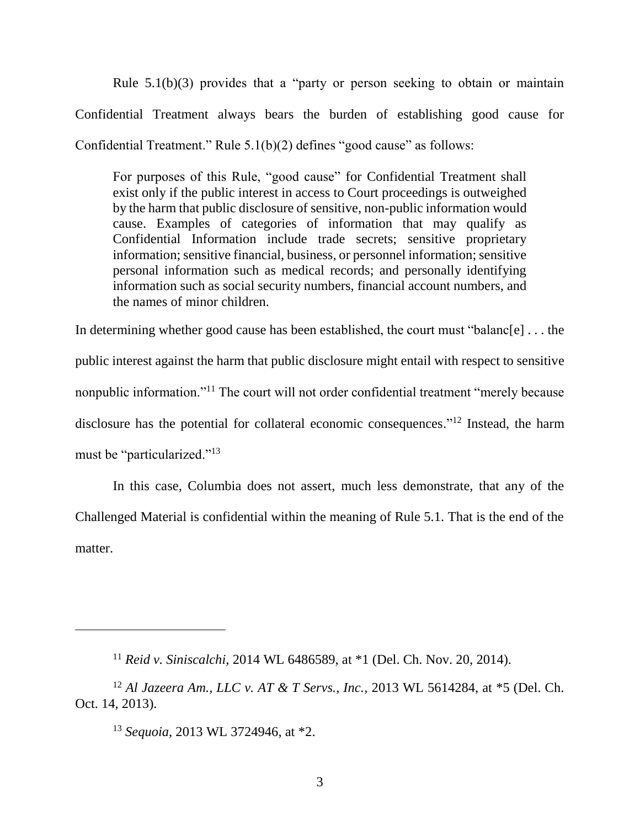Rule  $5.1(b)(3)$  provides that a "party or person seeking to obtain or maintain Confidential Treatment always bears the burden of establishing good cause for Confidential Treatment." Rule 5.1(b)(2) defines "good cause" as follows:

For purposes of this Rule, "good cause" for Confidential Treatment shall exist only if the public interest in access to Court proceedings is outweighed by the harm that public disclosure of sensitive, non-public information would cause. Examples of categories of information that may qualify as Confidential Information include trade secrets; sensitive proprietary information; sensitive financial, business, or personnel information; sensitive personal information such as medical records; and personally identifying information such as social security numbers, financial account numbers, and the names of minor children.

In determining whether good cause has been established, the court must "balanc[e] . . . the public interest against the harm that public disclosure might entail with respect to sensitive nonpublic information."<sup>11</sup> The court will not order confidential treatment "merely because disclosure has the potential for collateral economic consequences."<sup>12</sup> Instead, the harm must be "particularized."<sup>13</sup>

In this case, Columbia does not assert, much less demonstrate, that any of the Challenged Material is confidential within the meaning of Rule 5.1. That is the end of the matter.

<sup>11</sup> *Reid v. Siniscalchi*, 2014 WL 6486589, at \*1 (Del. Ch. Nov. 20, 2014).

<sup>12</sup> *Al Jazeera Am., LLC v. AT & T Servs., Inc.*, 2013 WL 5614284, at \*5 (Del. Ch. Oct. 14, 2013).

<sup>13</sup> *Sequoia*, 2013 WL 3724946, at \*2.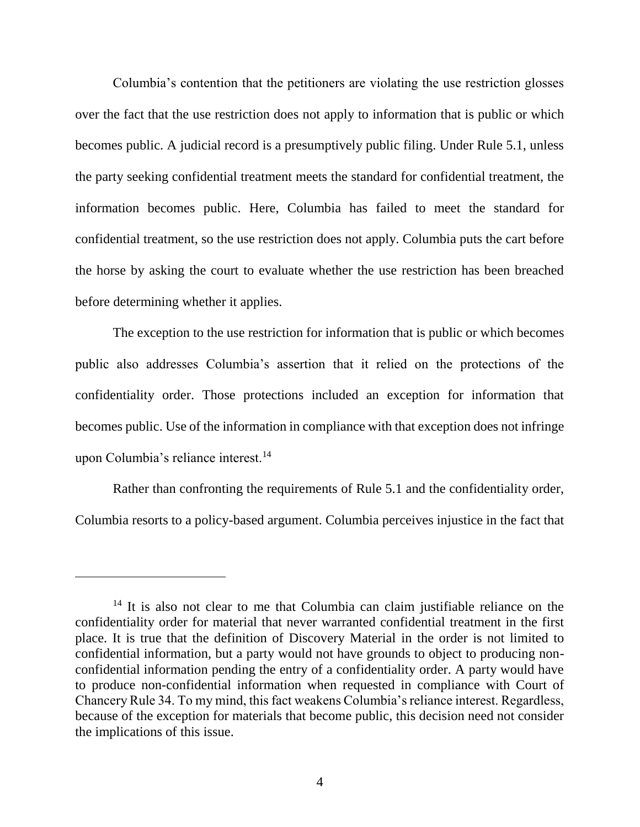Columbia's contention that the petitioners are violating the use restriction glosses over the fact that the use restriction does not apply to information that is public or which becomes public. A judicial record is a presumptively public filing. Under Rule 5.1, unless the party seeking confidential treatment meets the standard for confidential treatment, the information becomes public. Here, Columbia has failed to meet the standard for confidential treatment, so the use restriction does not apply. Columbia puts the cart before the horse by asking the court to evaluate whether the use restriction has been breached before determining whether it applies.

The exception to the use restriction for information that is public or which becomes public also addresses Columbia's assertion that it relied on the protections of the confidentiality order. Those protections included an exception for information that becomes public. Use of the information in compliance with that exception does not infringe upon Columbia's reliance interest.<sup>14</sup>

Rather than confronting the requirements of Rule 5.1 and the confidentiality order, Columbia resorts to a policy-based argument. Columbia perceives injustice in the fact that

 $\overline{a}$ 

<sup>&</sup>lt;sup>14</sup> It is also not clear to me that Columbia can claim justifiable reliance on the confidentiality order for material that never warranted confidential treatment in the first place. It is true that the definition of Discovery Material in the order is not limited to confidential information, but a party would not have grounds to object to producing nonconfidential information pending the entry of a confidentiality order. A party would have to produce non-confidential information when requested in compliance with Court of Chancery Rule 34. To my mind, this fact weakens Columbia's reliance interest. Regardless, because of the exception for materials that become public, this decision need not consider the implications of this issue.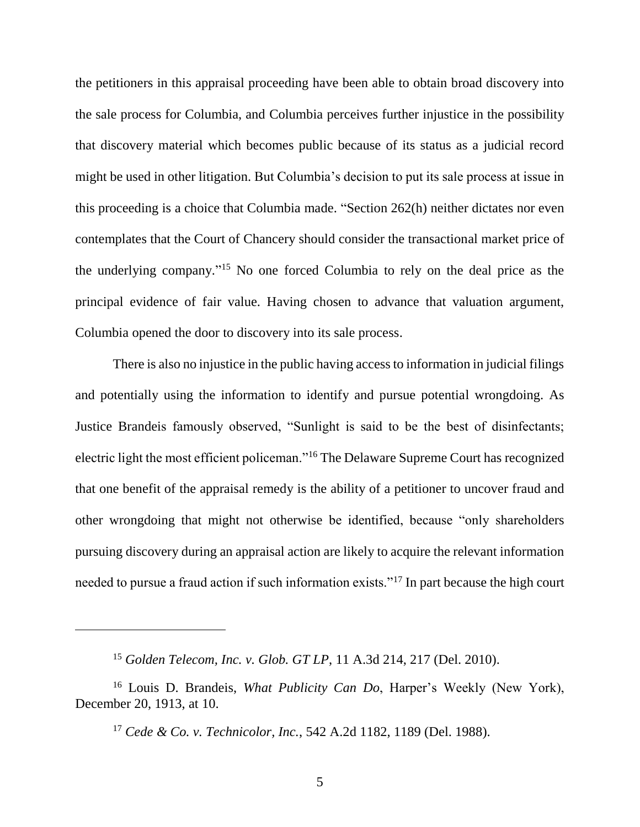the petitioners in this appraisal proceeding have been able to obtain broad discovery into the sale process for Columbia, and Columbia perceives further injustice in the possibility that discovery material which becomes public because of its status as a judicial record might be used in other litigation. But Columbia's decision to put its sale process at issue in this proceeding is a choice that Columbia made. "Section 262(h) neither dictates nor even contemplates that the Court of Chancery should consider the transactional market price of the underlying company." <sup>15</sup> No one forced Columbia to rely on the deal price as the principal evidence of fair value. Having chosen to advance that valuation argument, Columbia opened the door to discovery into its sale process.

There is also no injustice in the public having access to information in judicial filings and potentially using the information to identify and pursue potential wrongdoing. As Justice Brandeis famously observed, "Sunlight is said to be the best of disinfectants; electric light the most efficient policeman."<sup>16</sup> The Delaware Supreme Court has recognized that one benefit of the appraisal remedy is the ability of a petitioner to uncover fraud and other wrongdoing that might not otherwise be identified, because "only shareholders pursuing discovery during an appraisal action are likely to acquire the relevant information needed to pursue a fraud action if such information exists."<sup>17</sup> In part because the high court

<sup>15</sup> *Golden Telecom, Inc. v. Glob. GT LP*, 11 A.3d 214, 217 (Del. 2010).

<sup>16</sup> Louis D. Brandeis, *What Publicity Can Do*, Harper's Weekly (New York), December 20, 1913, at 10.

<sup>17</sup> *Cede & Co. v. Technicolor, Inc.*, 542 A.2d 1182, 1189 (Del. 1988).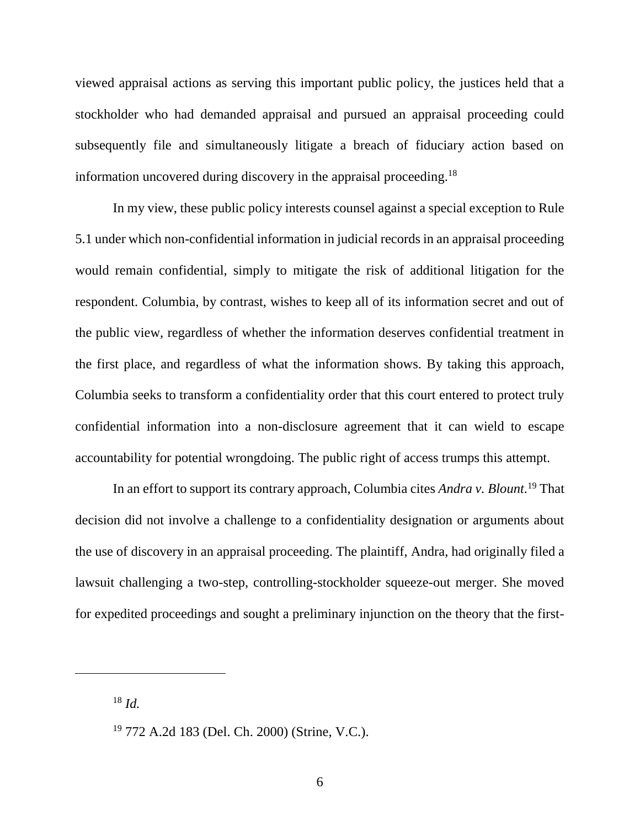viewed appraisal actions as serving this important public policy, the justices held that a stockholder who had demanded appraisal and pursued an appraisal proceeding could subsequently file and simultaneously litigate a breach of fiduciary action based on information uncovered during discovery in the appraisal proceeding.<sup>18</sup>

In my view, these public policy interests counsel against a special exception to Rule 5.1 under which non-confidential information in judicial records in an appraisal proceeding would remain confidential, simply to mitigate the risk of additional litigation for the respondent. Columbia, by contrast, wishes to keep all of its information secret and out of the public view, regardless of whether the information deserves confidential treatment in the first place, and regardless of what the information shows. By taking this approach, Columbia seeks to transform a confidentiality order that this court entered to protect truly confidential information into a non-disclosure agreement that it can wield to escape accountability for potential wrongdoing. The public right of access trumps this attempt.

In an effort to support its contrary approach, Columbia cites *Andra v. Blount*. <sup>19</sup> That decision did not involve a challenge to a confidentiality designation or arguments about the use of discovery in an appraisal proceeding. The plaintiff, Andra, had originally filed a lawsuit challenging a two-step, controlling-stockholder squeeze-out merger. She moved for expedited proceedings and sought a preliminary injunction on the theory that the first-

<sup>18</sup> *Id.*

<sup>19</sup> 772 A.2d 183 (Del. Ch. 2000) (Strine, V.C.).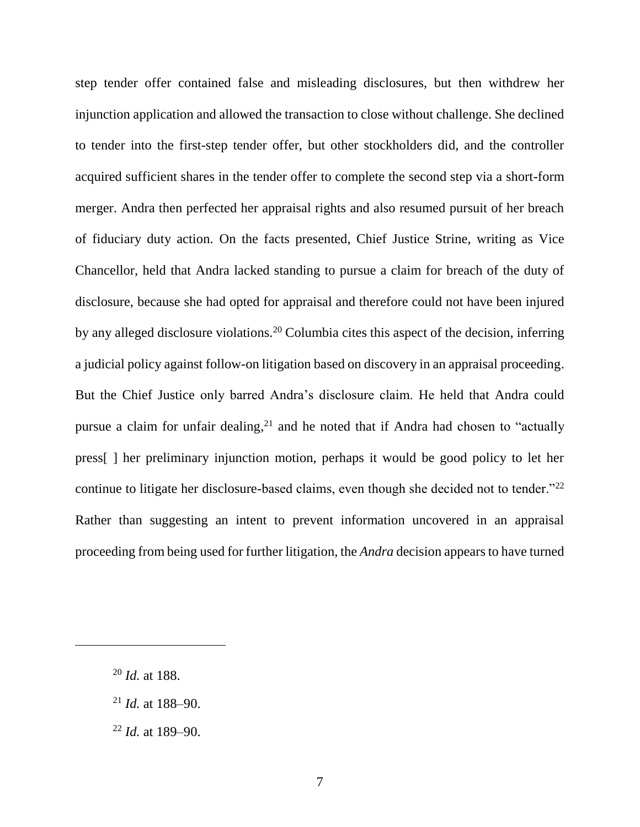step tender offer contained false and misleading disclosures, but then withdrew her injunction application and allowed the transaction to close without challenge. She declined to tender into the first-step tender offer, but other stockholders did, and the controller acquired sufficient shares in the tender offer to complete the second step via a short-form merger. Andra then perfected her appraisal rights and also resumed pursuit of her breach of fiduciary duty action. On the facts presented, Chief Justice Strine, writing as Vice Chancellor, held that Andra lacked standing to pursue a claim for breach of the duty of disclosure, because she had opted for appraisal and therefore could not have been injured by any alleged disclosure violations.<sup>20</sup> Columbia cites this aspect of the decision, inferring a judicial policy against follow-on litigation based on discovery in an appraisal proceeding. But the Chief Justice only barred Andra's disclosure claim. He held that Andra could pursue a claim for unfair dealing, $21$  and he noted that if Andra had chosen to "actually press[ ] her preliminary injunction motion, perhaps it would be good policy to let her continue to litigate her disclosure-based claims, even though she decided not to tender."<sup>22</sup> Rather than suggesting an intent to prevent information uncovered in an appraisal proceeding from being used for further litigation, the *Andra* decision appears to have turned

- <sup>21</sup> *Id.* at 188–90.
- <sup>22</sup> *Id.* at 189–90.

<sup>20</sup> *Id.* at 188.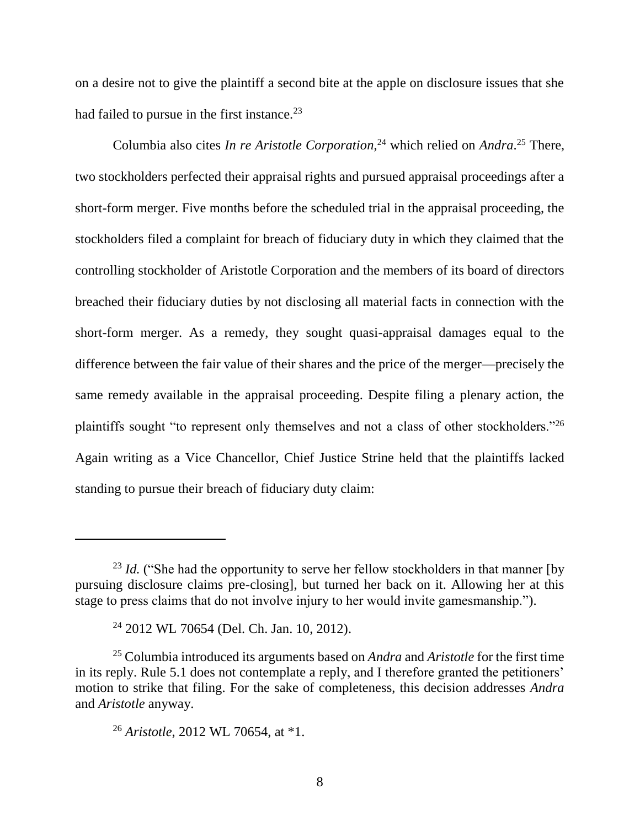on a desire not to give the plaintiff a second bite at the apple on disclosure issues that she had failed to pursue in the first instance.<sup>23</sup>

Columbia also cites *In re Aristotle Corporation*, <sup>24</sup> which relied on *Andra*. <sup>25</sup> There, two stockholders perfected their appraisal rights and pursued appraisal proceedings after a short-form merger. Five months before the scheduled trial in the appraisal proceeding, the stockholders filed a complaint for breach of fiduciary duty in which they claimed that the controlling stockholder of Aristotle Corporation and the members of its board of directors breached their fiduciary duties by not disclosing all material facts in connection with the short-form merger. As a remedy, they sought quasi-appraisal damages equal to the difference between the fair value of their shares and the price of the merger—precisely the same remedy available in the appraisal proceeding. Despite filing a plenary action, the plaintiffs sought "to represent only themselves and not a class of other stockholders."<sup>26</sup> Again writing as a Vice Chancellor, Chief Justice Strine held that the plaintiffs lacked standing to pursue their breach of fiduciary duty claim:

 $\overline{a}$ 

<sup>&</sup>lt;sup>23</sup> *Id.* ("She had the opportunity to serve her fellow stockholders in that manner [by pursuing disclosure claims pre-closing], but turned her back on it. Allowing her at this stage to press claims that do not involve injury to her would invite gamesmanship.").

<sup>24</sup> 2012 WL 70654 (Del. Ch. Jan. 10, 2012).

<sup>25</sup> Columbia introduced its arguments based on *Andra* and *Aristotle* for the first time in its reply. Rule 5.1 does not contemplate a reply, and I therefore granted the petitioners' motion to strike that filing. For the sake of completeness, this decision addresses *Andra*  and *Aristotle* anyway.

<sup>26</sup> *Aristotle*, 2012 WL 70654, at \*1.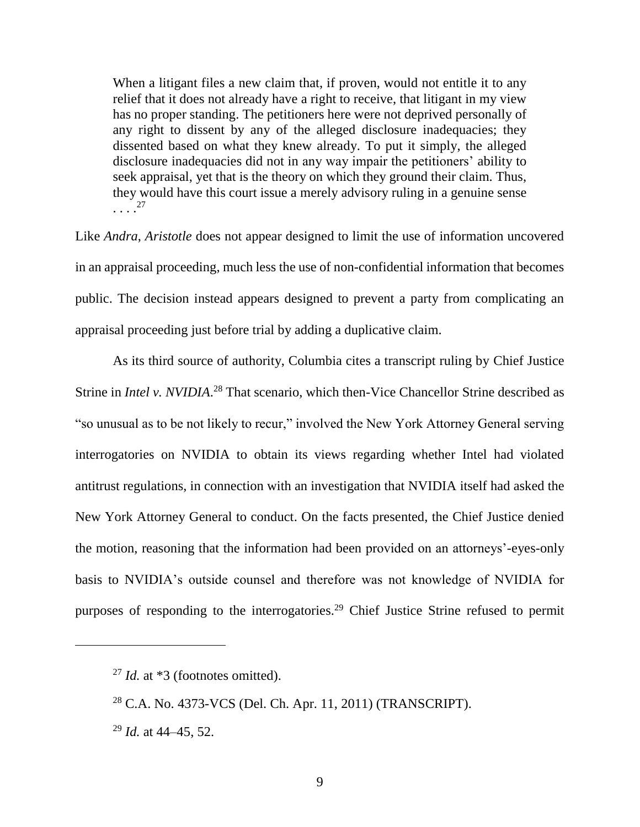When a litigant files a new claim that, if proven, would not entitle it to any relief that it does not already have a right to receive, that litigant in my view has no proper standing. The petitioners here were not deprived personally of any right to dissent by any of the alleged disclosure inadequacies; they dissented based on what they knew already. To put it simply, the alleged disclosure inadequacies did not in any way impair the petitioners' ability to seek appraisal, yet that is the theory on which they ground their claim. Thus, they would have this court issue a merely advisory ruling in a genuine sense . . . . 27

Like *Andra*, *Aristotle* does not appear designed to limit the use of information uncovered in an appraisal proceeding, much less the use of non-confidential information that becomes public. The decision instead appears designed to prevent a party from complicating an appraisal proceeding just before trial by adding a duplicative claim.

As its third source of authority, Columbia cites a transcript ruling by Chief Justice Strine in *Intel v. NVIDIA*.<sup>28</sup> That scenario, which then-Vice Chancellor Strine described as "so unusual as to be not likely to recur," involved the New York Attorney General serving interrogatories on NVIDIA to obtain its views regarding whether Intel had violated antitrust regulations, in connection with an investigation that NVIDIA itself had asked the New York Attorney General to conduct. On the facts presented, the Chief Justice denied the motion, reasoning that the information had been provided on an attorneys'-eyes-only basis to NVIDIA's outside counsel and therefore was not knowledge of NVIDIA for purposes of responding to the interrogatories.<sup>29</sup> Chief Justice Strine refused to permit

<sup>&</sup>lt;sup>27</sup> *Id.* at \*3 (footnotes omitted).

<sup>28</sup> C.A. No. 4373-VCS (Del. Ch. Apr. 11, 2011) (TRANSCRIPT).

<sup>29</sup> *Id.* at 44–45, 52.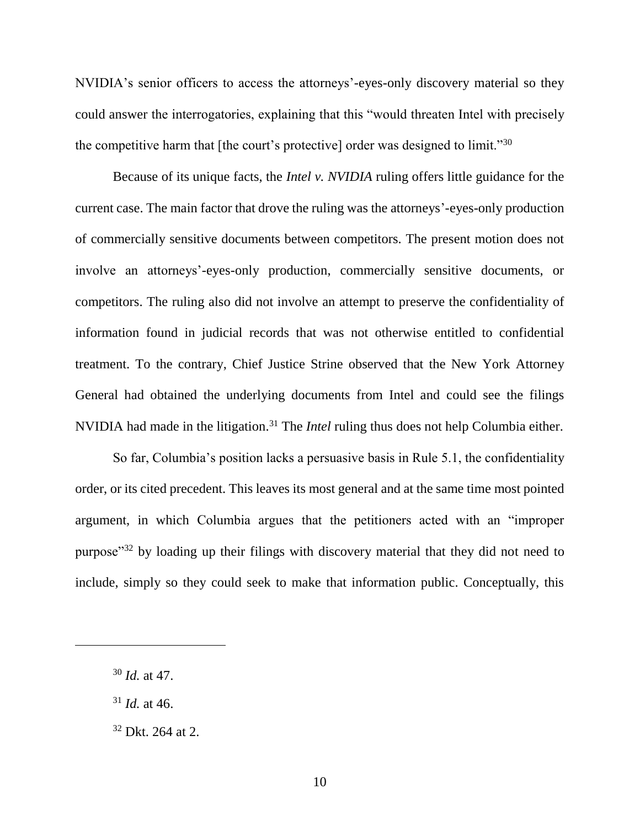NVIDIA's senior officers to access the attorneys'-eyes-only discovery material so they could answer the interrogatories, explaining that this "would threaten Intel with precisely the competitive harm that [the court's protective] order was designed to limit."<sup>30</sup>

Because of its unique facts, the *Intel v. NVIDIA* ruling offers little guidance for the current case. The main factor that drove the ruling was the attorneys'-eyes-only production of commercially sensitive documents between competitors. The present motion does not involve an attorneys'-eyes-only production, commercially sensitive documents, or competitors. The ruling also did not involve an attempt to preserve the confidentiality of information found in judicial records that was not otherwise entitled to confidential treatment. To the contrary, Chief Justice Strine observed that the New York Attorney General had obtained the underlying documents from Intel and could see the filings NVIDIA had made in the litigation. <sup>31</sup> The *Intel* ruling thus does not help Columbia either.

So far, Columbia's position lacks a persuasive basis in Rule 5.1, the confidentiality order, or its cited precedent. This leaves its most general and at the same time most pointed argument, in which Columbia argues that the petitioners acted with an "improper purpose"<sup>32</sup> by loading up their filings with discovery material that they did not need to include, simply so they could seek to make that information public. Conceptually, this

<sup>30</sup> *Id.* at 47.

<sup>31</sup> *Id.* at 46.

<sup>32</sup> Dkt. 264 at 2.